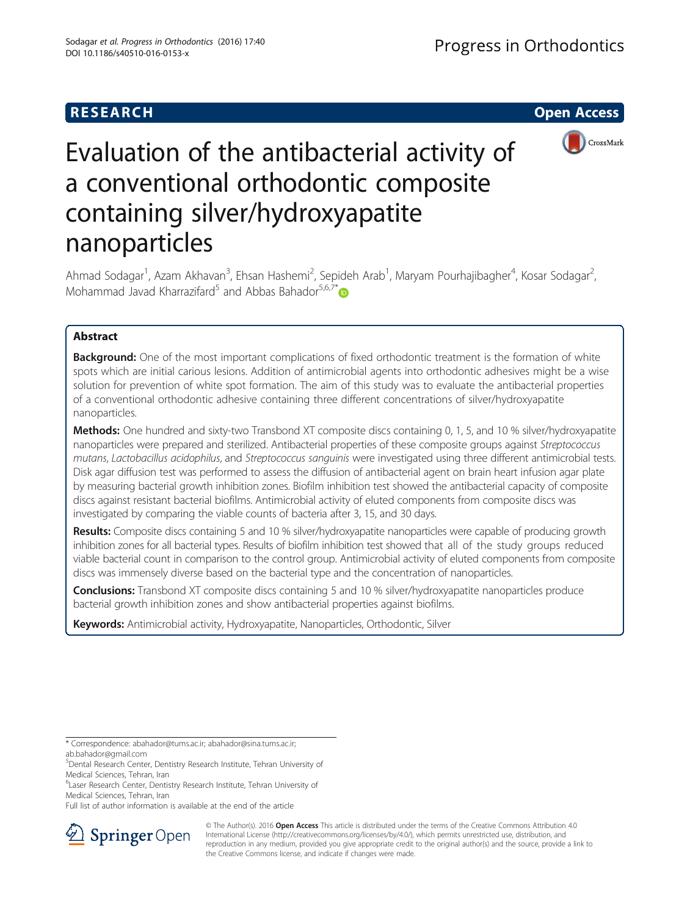# **RESEARCH CHE Open Access**



# Evaluation of the antibacterial activity of a conventional orthodontic composite containing silver/hydroxyapatite nanoparticles

Ahmad Sodagar<sup>1</sup>, Azam Akhavan<sup>3</sup>, Ehsan Hashemi<sup>2</sup>, Sepideh Arab<sup>1</sup>, Maryam Pourhajibagher<sup>4</sup>, Kosar Sodagar<sup>2</sup> , Mohammad Javad Kharrazifard<sup>5</sup> and Abbas Bahador<sup>5,6,7[\\*](http://orcid.org/0000-0001-5308-7208)</sup>

# Abstract

**Background:** One of the most important complications of fixed orthodontic treatment is the formation of white spots which are initial carious lesions. Addition of antimicrobial agents into orthodontic adhesives might be a wise solution for prevention of white spot formation. The aim of this study was to evaluate the antibacterial properties of a conventional orthodontic adhesive containing three different concentrations of silver/hydroxyapatite nanoparticles.

Methods: One hundred and sixty-two Transbond XT composite discs containing 0, 1, 5, and 10 % silver/hydroxyapatite nanoparticles were prepared and sterilized. Antibacterial properties of these composite groups against Streptococcus mutans, Lactobacillus acidophilus, and Streptococcus sanguinis were investigated using three different antimicrobial tests. Disk agar diffusion test was performed to assess the diffusion of antibacterial agent on brain heart infusion agar plate by measuring bacterial growth inhibition zones. Biofilm inhibition test showed the antibacterial capacity of composite discs against resistant bacterial biofilms. Antimicrobial activity of eluted components from composite discs was investigated by comparing the viable counts of bacteria after 3, 15, and 30 days.

Results: Composite discs containing 5 and 10 % silver/hydroxyapatite nanoparticles were capable of producing growth inhibition zones for all bacterial types. Results of biofilm inhibition test showed that all of the study groups reduced viable bacterial count in comparison to the control group. Antimicrobial activity of eluted components from composite discs was immensely diverse based on the bacterial type and the concentration of nanoparticles.

**Conclusions:** Transbond XT composite discs containing 5 and 10 % silver/hydroxyapatite nanoparticles produce bacterial growth inhibition zones and show antibacterial properties against biofilms.

Keywords: Antimicrobial activity, Hydroxyapatite, Nanoparticles, Orthodontic, Silver

Full list of author information is available at the end of the article



© The Author(s). 2016 Open Access This article is distributed under the terms of the Creative Commons Attribution 4.0 International License ([http://creativecommons.org/licenses/by/4.0/\)](http://creativecommons.org/licenses/by/4.0/), which permits unrestricted use, distribution, and reproduction in any medium, provided you give appropriate credit to the original author(s) and the source, provide a link to the Creative Commons license, and indicate if changes were made.

<sup>\*</sup> Correspondence: [abahador@tums.ac.ir](mailto:abahador@tums.ac.ir); [abahador@sina.tums.ac.ir](mailto:abahador@sina.tums.ac.ir); [ab.bahador@gmail.com](mailto:ab.bahador@gmail.com)

<sup>5</sup> Dental Research Center, Dentistry Research Institute, Tehran University of Medical Sciences, Tehran, Iran

<sup>&</sup>lt;sup>6</sup> Laser Research Center, Dentistry Research Institute, Tehran University of Medical Sciences, Tehran, Iran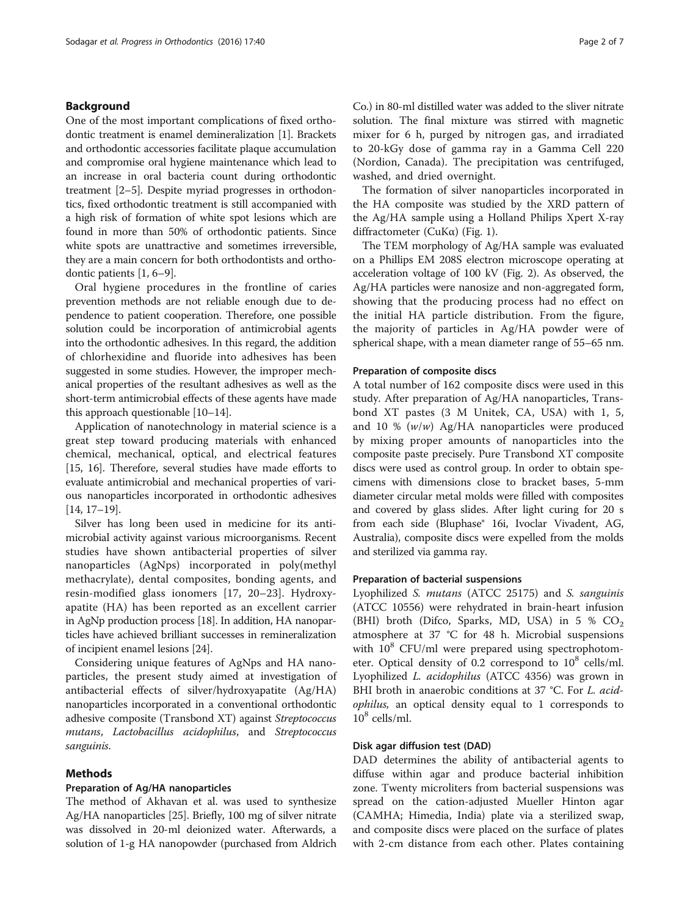# Background

One of the most important complications of fixed orthodontic treatment is enamel demineralization [\[1](#page-6-0)]. Brackets and orthodontic accessories facilitate plaque accumulation and compromise oral hygiene maintenance which lead to an increase in oral bacteria count during orthodontic treatment [[2](#page-6-0)–[5](#page-6-0)]. Despite myriad progresses in orthodontics, fixed orthodontic treatment is still accompanied with a high risk of formation of white spot lesions which are found in more than 50% of orthodontic patients. Since white spots are unattractive and sometimes irreversible, they are a main concern for both orthodontists and orthodontic patients [[1, 6](#page-6-0)–[9\]](#page-6-0).

Oral hygiene procedures in the frontline of caries prevention methods are not reliable enough due to dependence to patient cooperation. Therefore, one possible solution could be incorporation of antimicrobial agents into the orthodontic adhesives. In this regard, the addition of chlorhexidine and fluoride into adhesives has been suggested in some studies. However, the improper mechanical properties of the resultant adhesives as well as the short-term antimicrobial effects of these agents have made this approach questionable [[10](#page-6-0)–[14\]](#page-6-0).

Application of nanotechnology in material science is a great step toward producing materials with enhanced chemical, mechanical, optical, and electrical features [[15](#page-6-0), [16](#page-6-0)]. Therefore, several studies have made efforts to evaluate antimicrobial and mechanical properties of various nanoparticles incorporated in orthodontic adhesives [[14](#page-6-0), [17](#page-6-0)–[19](#page-6-0)].

Silver has long been used in medicine for its antimicrobial activity against various microorganisms. Recent studies have shown antibacterial properties of silver nanoparticles (AgNps) incorporated in poly(methyl methacrylate), dental composites, bonding agents, and resin-modified glass ionomers [\[17](#page-6-0), [20](#page-6-0)–[23](#page-6-0)]. Hydroxyapatite (HA) has been reported as an excellent carrier in AgNp production process [\[18\]](#page-6-0). In addition, HA nanoparticles have achieved brilliant successes in remineralization of incipient enamel lesions [[24](#page-6-0)].

Considering unique features of AgNps and HA nanoparticles, the present study aimed at investigation of antibacterial effects of silver/hydroxyapatite (Ag/HA) nanoparticles incorporated in a conventional orthodontic adhesive composite (Transbond XT) against Streptococcus mutans, Lactobacillus acidophilus, and Streptococcus sanguinis.

#### Methods

# Preparation of Ag/HA nanoparticles

The method of Akhavan et al. was used to synthesize Ag/HA nanoparticles [\[25](#page-6-0)]. Briefly, 100 mg of silver nitrate was dissolved in 20-ml deionized water. Afterwards, a solution of 1-g HA nanopowder (purchased from Aldrich

Co.) in 80-ml distilled water was added to the sliver nitrate solution. The final mixture was stirred with magnetic mixer for 6 h, purged by nitrogen gas, and irradiated to 20-kGy dose of gamma ray in a Gamma Cell 220 (Nordion, Canada). The precipitation was centrifuged, washed, and dried overnight.

The formation of silver nanoparticles incorporated in the HA composite was studied by the XRD pattern of the Ag/HA sample using a Holland Philips Xpert X-ray diffractometer (CuKα) (Fig. [1\)](#page-2-0).

The TEM morphology of Ag/HA sample was evaluated on a Phillips EM 208S electron microscope operating at acceleration voltage of 100 kV (Fig. [2](#page-2-0)). As observed, the Ag/HA particles were nanosize and non-aggregated form, showing that the producing process had no effect on the initial HA particle distribution. From the figure, the majority of particles in Ag/HA powder were of spherical shape, with a mean diameter range of 55–65 nm.

#### Preparation of composite discs

A total number of 162 composite discs were used in this study. After preparation of Ag/HA nanoparticles, Transbond XT pastes (3 M Unitek, CA, USA) with 1, 5, and 10 %  $(w/w)$  Ag/HA nanoparticles were produced by mixing proper amounts of nanoparticles into the composite paste precisely. Pure Transbond XT composite discs were used as control group. In order to obtain specimens with dimensions close to bracket bases, 5-mm diameter circular metal molds were filled with composites and covered by glass slides. After light curing for 20 s from each side (Bluphase® 16i, Ivoclar Vivadent, AG, Australia), composite discs were expelled from the molds and sterilized via gamma ray.

# Preparation of bacterial suspensions

Lyophilized S. mutans (ATCC 25175) and S. sanguinis (ATCC 10556) were rehydrated in brain-heart infusion (BHI) broth (Difco, Sparks, MD, USA) in 5 %  $CO<sub>2</sub>$ atmosphere at 37 °C for 48 h. Microbial suspensions with  $10^8$  CFU/ml were prepared using spectrophotometer. Optical density of 0.2 correspond to  $10^8$  cells/ml. Lyophilized L. acidophilus (ATCC 4356) was grown in BHI broth in anaerobic conditions at 37 °C. For L. acidophilus, an optical density equal to 1 corresponds to  $10^8$  cells/ml.

# Disk agar diffusion test (DAD)

DAD determines the ability of antibacterial agents to diffuse within agar and produce bacterial inhibition zone. Twenty microliters from bacterial suspensions was spread on the cation-adjusted Mueller Hinton agar (CAMHA; Himedia, India) plate via a sterilized swap, and composite discs were placed on the surface of plates with 2-cm distance from each other. Plates containing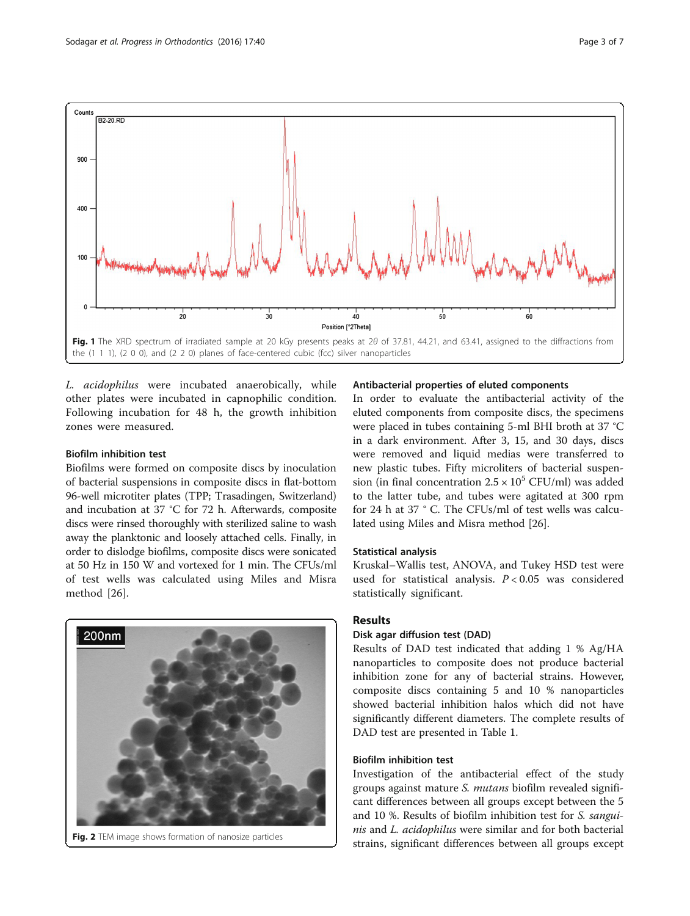<span id="page-2-0"></span>

L. acidophilus were incubated anaerobically, while other plates were incubated in capnophilic condition. Following incubation for 48 h, the growth inhibition zones were measured.

# Biofilm inhibition test

Biofilms were formed on composite discs by inoculation of bacterial suspensions in composite discs in flat-bottom 96-well microtiter plates (TPP; Trasadingen, Switzerland) and incubation at 37 °C for 72 h. Afterwards, composite discs were rinsed thoroughly with sterilized saline to wash away the planktonic and loosely attached cells. Finally, in order to dislodge biofilms, composite discs were sonicated at 50 Hz in 150 W and vortexed for 1 min. The CFUs/ml of test wells was calculated using Miles and Misra method [[26\]](#page-6-0).



Fig. 2 TEM image shows formation of nanosize particles

# Antibacterial properties of eluted components

In order to evaluate the antibacterial activity of the eluted components from composite discs, the specimens were placed in tubes containing 5-ml BHI broth at 37 °C in a dark environment. After 3, 15, and 30 days, discs were removed and liquid medias were transferred to new plastic tubes. Fifty microliters of bacterial suspension (in final concentration  $2.5 \times 10^5$  CFU/ml) was added to the latter tube, and tubes were agitated at 300 rpm for 24 h at 37 ° C. The CFUs/ml of test wells was calculated using Miles and Misra method [\[26](#page-6-0)].

# Statistical analysis

Kruskal–Wallis test, ANOVA, and Tukey HSD test were used for statistical analysis.  $P < 0.05$  was considered statistically significant.

# Results

# Disk agar diffusion test (DAD)

Results of DAD test indicated that adding 1 % Ag/HA nanoparticles to composite does not produce bacterial inhibition zone for any of bacterial strains. However, composite discs containing 5 and 10 % nanoparticles showed bacterial inhibition halos which did not have significantly different diameters. The complete results of DAD test are presented in Table [1](#page-3-0).

# Biofilm inhibition test

Investigation of the antibacterial effect of the study groups against mature S. mutans biofilm revealed significant differences between all groups except between the 5 and 10 %. Results of biofilm inhibition test for S. sanguinis and L. *acidophilus* were similar and for both bacterial strains, significant differences between all groups except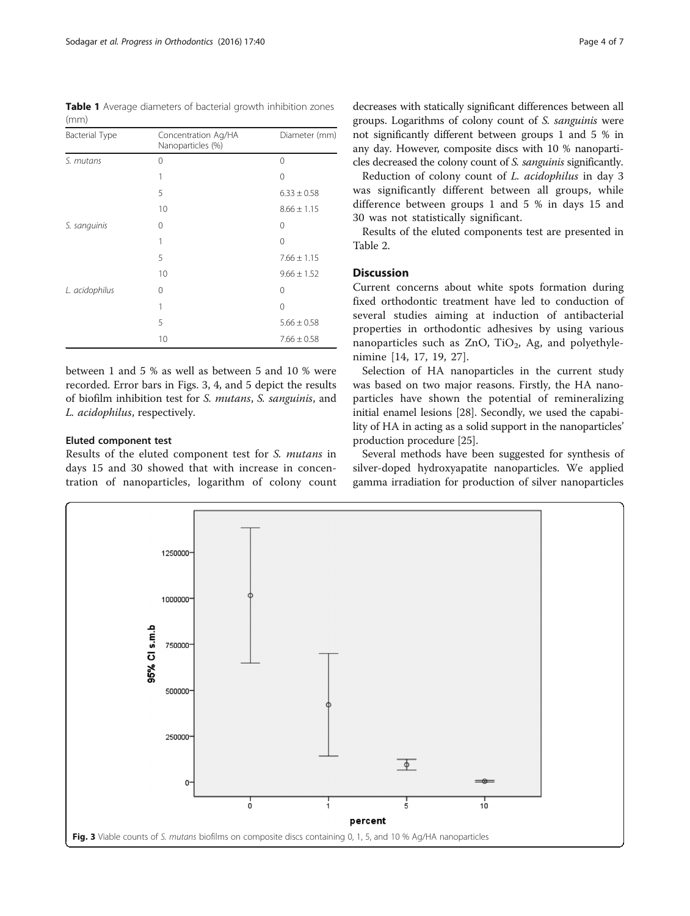<span id="page-3-0"></span>Table 1 Average diameters of bacterial growth inhibition zones (mm)

| <b>Bacterial Type</b> | Concentration Ag/HA<br>Nanoparticles (%) | Diameter (mm)   |  |
|-----------------------|------------------------------------------|-----------------|--|
| S. mutans             | $\mathbf 0$                              | $\Omega$        |  |
|                       | 1                                        | 0               |  |
|                       | 5                                        | $6.33 \pm 0.58$ |  |
|                       | 10                                       | $8.66 \pm 1.15$ |  |
| S. sanguinis          | 0                                        | 0               |  |
|                       | 1                                        | 0               |  |
|                       | 5                                        | $7.66 \pm 1.15$ |  |
|                       | 10                                       | $9.66 \pm 1.52$ |  |
| L. acidophilus        | 0                                        | 0               |  |
|                       | 1                                        | 0               |  |
|                       | 5                                        | $5.66 \pm 0.58$ |  |
|                       | 10                                       | $7.66 \pm 0.58$ |  |

between 1 and 5 % as well as between 5 and 10 % were recorded. Error bars in Figs. 3, [4](#page-4-0), and [5](#page-4-0) depict the results of biofilm inhibition test for S. mutans, S. sanguinis, and L. acidophilus, respectively.

# Eluted component test

Results of the eluted component test for S. mutans in days 15 and 30 showed that with increase in concentration of nanoparticles, logarithm of colony count decreases with statically significant differences between all groups. Logarithms of colony count of S. sanguinis were not significantly different between groups 1 and 5 % in any day. However, composite discs with 10 % nanoparticles decreased the colony count of S. sanguinis significantly.

Reduction of colony count of L. acidophilus in day 3 was significantly different between all groups, while difference between groups 1 and 5 % in days 15 and 30 was not statistically significant.

Results of the eluted components test are presented in Table [2.](#page-5-0)

# Discussion

Current concerns about white spots formation during fixed orthodontic treatment have led to conduction of several studies aiming at induction of antibacterial properties in orthodontic adhesives by using various nanoparticles such as ZnO, TiO<sub>2</sub>, Ag, and polyethylenimine [[14, 17](#page-6-0), [19](#page-6-0), [27](#page-6-0)].

Selection of HA nanoparticles in the current study was based on two major reasons. Firstly, the HA nanoparticles have shown the potential of remineralizing initial enamel lesions [[28](#page-6-0)]. Secondly, we used the capability of HA in acting as a solid support in the nanoparticles' production procedure [\[25\]](#page-6-0).

Several methods have been suggested for synthesis of silver-doped hydroxyapatite nanoparticles. We applied gamma irradiation for production of silver nanoparticles

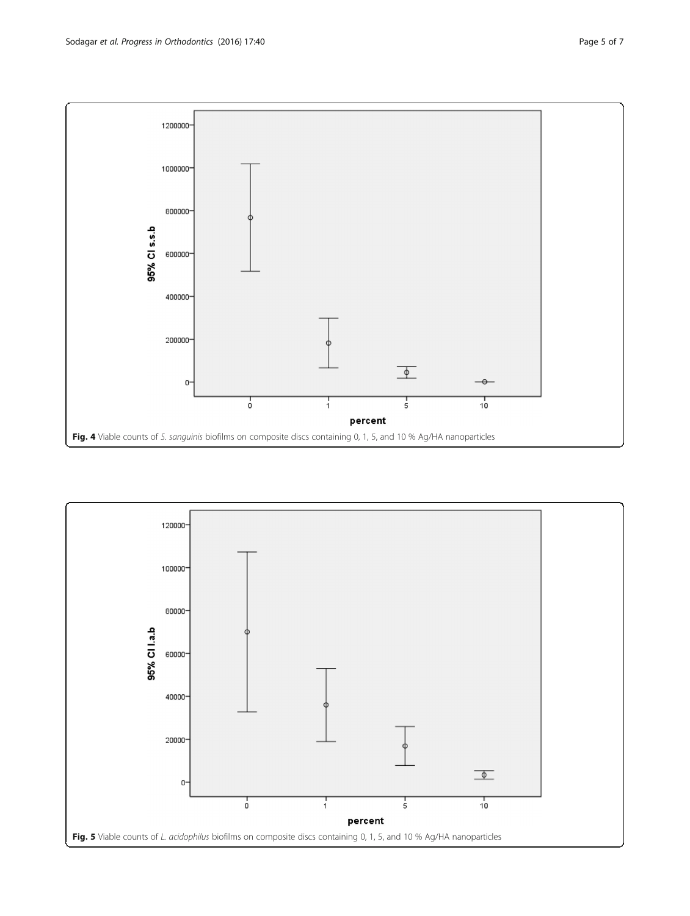<span id="page-4-0"></span>

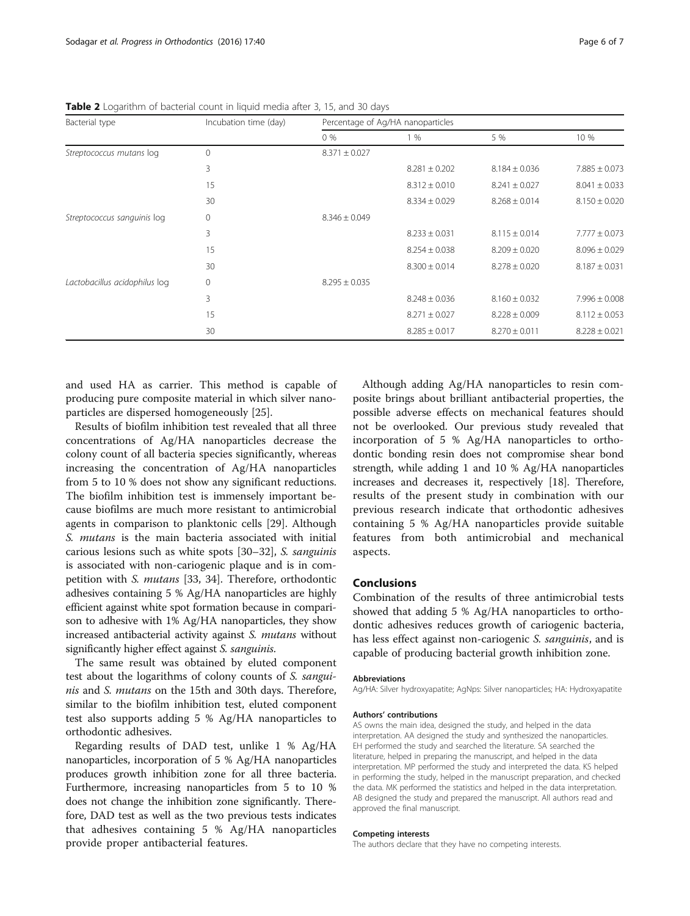| Bacterial type                | Incubation time (day) | Percentage of Ag/HA nanoparticles |                   |                   |                   |
|-------------------------------|-----------------------|-----------------------------------|-------------------|-------------------|-------------------|
|                               |                       | $0\%$                             | 1%                | 5 %               | 10 %              |
| Streptococcus mutans log      | $\Omega$              | $8.371 \pm 0.027$                 |                   |                   |                   |
|                               | 3                     |                                   | $8.281 \pm 0.202$ | $8.184 \pm 0.036$ | $7.885 \pm 0.073$ |
|                               | 15                    |                                   | $8.312 \pm 0.010$ | $8.241 \pm 0.027$ | $8.041 \pm 0.033$ |
|                               | 30                    |                                   | $8.334 \pm 0.029$ | $8.268 \pm 0.014$ | $8.150 \pm 0.020$ |
| Streptococcus sanguinis log   | 0                     | $8.346 \pm 0.049$                 |                   |                   |                   |
|                               | 3                     |                                   | $8.233 \pm 0.031$ | $8.115 \pm 0.014$ | $7.777 \pm 0.073$ |
|                               | 15                    |                                   | $8.254 \pm 0.038$ | $8.209 \pm 0.020$ | $8.096 \pm 0.029$ |
|                               | 30                    |                                   | $8.300 \pm 0.014$ | $8.278 \pm 0.020$ | $8.187 \pm 0.031$ |
| Lactobacillus acidophilus log | $\Omega$              | $8.295 \pm 0.035$                 |                   |                   |                   |
|                               | 3                     |                                   | $8.248 \pm 0.036$ | $8.160 \pm 0.032$ | $7.996 \pm 0.008$ |
|                               | 15                    |                                   | $8.271 \pm 0.027$ | $8.228 \pm 0.009$ | $8.112 \pm 0.053$ |
|                               | 30                    |                                   | $8.285 \pm 0.017$ | $8.270 \pm 0.011$ | $8.228 \pm 0.021$ |

<span id="page-5-0"></span>Table 2 Logarithm of bacterial count in liquid media after 3, 15, and 30 days

and used HA as carrier. This method is capable of producing pure composite material in which silver nanoparticles are dispersed homogeneously [\[25](#page-6-0)].

Results of biofilm inhibition test revealed that all three concentrations of Ag/HA nanoparticles decrease the colony count of all bacteria species significantly, whereas increasing the concentration of Ag/HA nanoparticles from 5 to 10 % does not show any significant reductions. The biofilm inhibition test is immensely important because biofilms are much more resistant to antimicrobial agents in comparison to planktonic cells [\[29](#page-6-0)]. Although S. mutans is the main bacteria associated with initial carious lesions such as white spots [[30](#page-6-0)–[32\]](#page-6-0), S. sanguinis is associated with non-cariogenic plaque and is in competition with S. mutans [[33](#page-6-0), [34](#page-6-0)]. Therefore, orthodontic adhesives containing 5 % Ag/HA nanoparticles are highly efficient against white spot formation because in comparison to adhesive with 1% Ag/HA nanoparticles, they show increased antibacterial activity against S. mutans without significantly higher effect against S. sanguinis.

The same result was obtained by eluted component test about the logarithms of colony counts of S. sanguinis and S. mutans on the 15th and 30th days. Therefore, similar to the biofilm inhibition test, eluted component test also supports adding 5 % Ag/HA nanoparticles to orthodontic adhesives.

Regarding results of DAD test, unlike 1 % Ag/HA nanoparticles, incorporation of 5 % Ag/HA nanoparticles produces growth inhibition zone for all three bacteria. Furthermore, increasing nanoparticles from 5 to 10 % does not change the inhibition zone significantly. Therefore, DAD test as well as the two previous tests indicates that adhesives containing 5 % Ag/HA nanoparticles provide proper antibacterial features.

Although adding Ag/HA nanoparticles to resin composite brings about brilliant antibacterial properties, the possible adverse effects on mechanical features should not be overlooked. Our previous study revealed that incorporation of 5 % Ag/HA nanoparticles to orthodontic bonding resin does not compromise shear bond strength, while adding 1 and 10 % Ag/HA nanoparticles increases and decreases it, respectively [[18\]](#page-6-0). Therefore, results of the present study in combination with our previous research indicate that orthodontic adhesives containing 5 % Ag/HA nanoparticles provide suitable features from both antimicrobial and mechanical aspects.

# Conclusions

Combination of the results of three antimicrobial tests showed that adding 5 % Ag/HA nanoparticles to orthodontic adhesives reduces growth of cariogenic bacteria, has less effect against non-cariogenic S. sanguinis, and is capable of producing bacterial growth inhibition zone.

#### Abbreviations

Ag/HA: Silver hydroxyapatite; AgNps: Silver nanoparticles; HA: Hydroxyapatite

#### Authors' contributions

AS owns the main idea, designed the study, and helped in the data interpretation. AA designed the study and synthesized the nanoparticles. EH performed the study and searched the literature. SA searched the literature, helped in preparing the manuscript, and helped in the data interpretation. MP performed the study and interpreted the data. KS helped in performing the study, helped in the manuscript preparation, and checked the data. MK performed the statistics and helped in the data interpretation. AB designed the study and prepared the manuscript. All authors read and approved the final manuscript.

#### Competing interests

The authors declare that they have no competing interests.